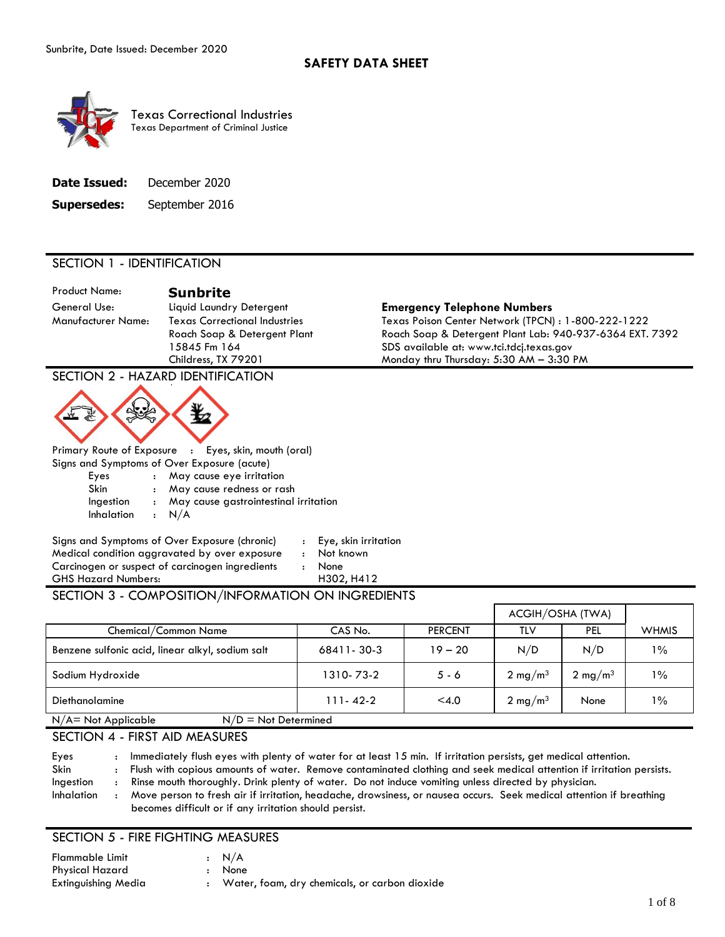

| <b>Supersedes:</b> | September 2016 |  |
|--------------------|----------------|--|
|--------------------|----------------|--|

## SECTION 1 - IDENTIFICATION

Product Name: **Sunbrite** 

#### General Use: Liquid Laundry Detergent **Emergency Telephone Numbers**

Manufacturer Name: Texas Correctional Industries Texas Poison Center Network (TPCN) : 1-800-222-1222 Roach Soap & Detergent Plant Roach Soap & Detergent Plant Lab: 940-937-6364 EXT. 7392 15845 Fm 164 SDS available at: www.tci.tdcj.texas.gov Childress, TX 79201 Monday thru Thursday: 5:30 AM – 3:30 PM

## SECTION 2 - HAZARD IDENTIFICATION



|            | Primary Route of Exposure : Eyes, skin, mouth (oral) |
|------------|------------------------------------------------------|
|            | Signs and Symptoms of Over Exposure (acute)          |
| Eyes       | : May cause eye irritation                           |
| Skin       | : May cause redness or rash                          |
| Ingestion  | : May cause gastrointestinal irritation              |
| Inhalation | $\cdot$ N/A                                          |

Signs and Symptoms of Over Exposure (chronic) : Eye, skin irritation Medical condition aggravated by over exposure : Not known Carcinogen or suspect of carcinogen ingredients : None GHS Hazard Numbers: H302, H412

## SECTION 3 - COMPOSITION/INFORMATION ON INGREDIENTS

|                                                  |                |                | ACGIH/OSHA (TWA)    |                    |              |
|--------------------------------------------------|----------------|----------------|---------------------|--------------------|--------------|
| Chemical/Common Name                             | CAS No.        | <b>PERCENT</b> | TLV                 | PEL                | <b>WHMIS</b> |
| Benzene sulfonic acid, linear alkyl, sodium salt | 68411-30-3     | $19 - 20$      | N/D                 | N/D                | $1\%$        |
| Sodium Hydroxide                                 | 1310-73-2      | $5 - 6$        | $2 \text{ mg/m}^3$  | $2 \text{ mg/m}^3$ | $1\%$        |
| Diethanolamine                                   | $111 - 42 - 2$ | $<$ 4.0        | 2 mg/m <sup>3</sup> | None               | $1\%$        |
| $N/A$ = Not Applicable<br>$N/D = Not$ Determined |                |                |                     |                    |              |

#### SECTION 4 - FIRST AID MEASURES

Eyes : Immediately flush eyes with plenty of water for at least 15 min. If irritation persists, get medical attention. Skin : Flush with copious amounts of water. Remove contaminated clothing and seek medical attention if irritation persists. Ingestion : Rinse mouth thoroughly. Drink plenty of water. Do not induce vomiting unless directed by physician. Inhalation : Move person to fresh air if irritation, headache, drowsiness, or nausea occurs. Seek medical attention if breathing becomes difficult or if any irritation should persist.

#### SECTION 5 - FIRE FIGHTING MEASURES

| Flammable Limit        | $\cdot$ N/A                                     |
|------------------------|-------------------------------------------------|
| <b>Physical Hazard</b> | : None                                          |
| Extinguishing Media    | : Water, foam, dry chemicals, or carbon dioxide |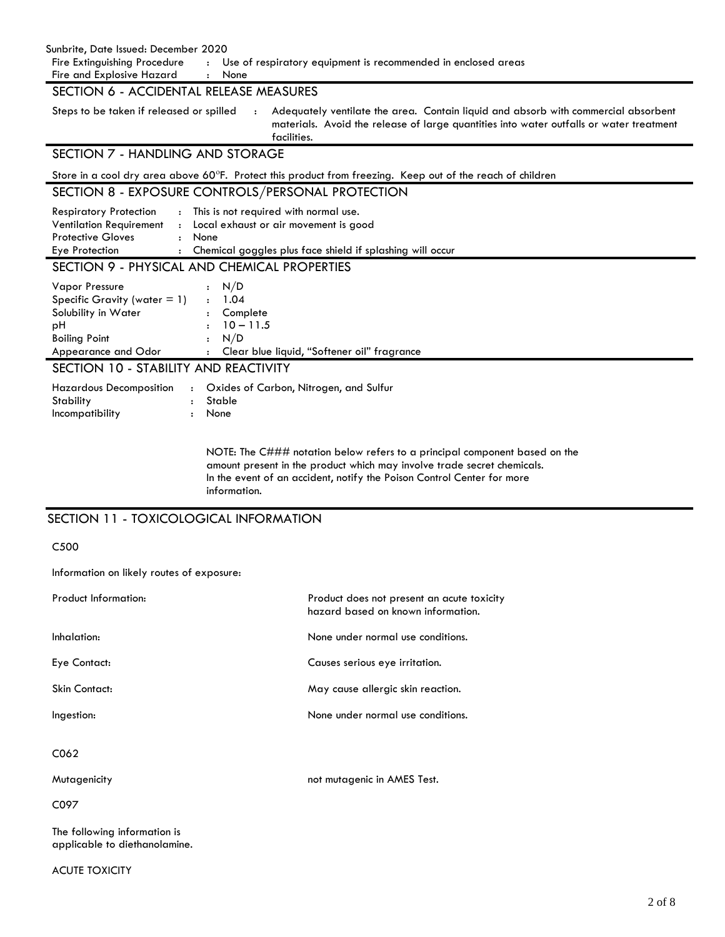| Sunbrite, Date Issued: December 2020<br>Fire Extinguishing Procedure<br>Use of respiratory equipment is recommended in enclosed areas<br>$\mathbf{E}$<br>Fire and Explosive Hazard<br>None<br>SECTION 6 - ACCIDENTAL RELEASE MEASURES                                      |  |  |  |  |
|----------------------------------------------------------------------------------------------------------------------------------------------------------------------------------------------------------------------------------------------------------------------------|--|--|--|--|
| Steps to be taken if released or spilled<br>Adequately ventilate the area. Contain liquid and absorb with commercial absorbent<br>$\pm$ .<br>materials. Avoid the release of large quantities into water outfalls or water treatment<br>facilities.                        |  |  |  |  |
| SECTION 7 - HANDLING AND STORAGE                                                                                                                                                                                                                                           |  |  |  |  |
| Store in a cool dry area above 60°F. Protect this product from freezing. Keep out of the reach of children                                                                                                                                                                 |  |  |  |  |
| SECTION 8 - EXPOSURE CONTROLS/PERSONAL PROTECTION                                                                                                                                                                                                                          |  |  |  |  |
| <b>Respiratory Protection</b><br>This is not required with normal use.<br><b>Ventilation Requirement</b><br>: Local exhaust or air movement is good<br><b>Protective Gloves</b><br>: None<br>: Chemical goggles plus face shield if splashing will occur<br>Eye Protection |  |  |  |  |
| SECTION 9 - PHYSICAL AND CHEMICAL PROPERTIES                                                                                                                                                                                                                               |  |  |  |  |
| Vapor Pressure<br>N/D<br>Specific Gravity (water $= 1$ )<br>: 1.04<br>Solubility in Water<br>Complete<br>$10 - 11.5$<br>рH<br>N/D<br><b>Boiling Point</b><br>Clear blue liquid, "Softener oil" fragrance<br>Appearance and Odor                                            |  |  |  |  |
| SECTION 10 - STABILITY AND REACTIVITY                                                                                                                                                                                                                                      |  |  |  |  |
| Oxides of Carbon, Nitrogen, and Sulfur<br><b>Hazardous Decomposition</b><br>Stability<br>Stable<br>$\cdot$<br>Incompatibility<br>None                                                                                                                                      |  |  |  |  |
| NOTE: The C### notation below refers to a principal component based on the<br>amount present in the product which may involve trade secret chemicals.<br>In the event of an accident, notify the Poison Control Center for more<br>information.                            |  |  |  |  |

## SECTION 11 - TOXICOLOGICAL INFORMATION

C500

Information on likely routes of exposure:

| <b>Product Information:</b> | Product does not present an acute toxicity<br>hazard based on known information. |
|-----------------------------|----------------------------------------------------------------------------------|
| Inhalation:                 | None under normal use conditions.                                                |
| Eye Contact:                | Causes serious eye irritation.                                                   |
| Skin Contact:               | May cause allergic skin reaction.                                                |
| Ingestion:                  | None under normal use conditions.                                                |
| C062                        |                                                                                  |
| Mutagenicity                | not mutagenic in AMES Test.                                                      |
| C097                        |                                                                                  |
|                             |                                                                                  |

The following information is applicable to diethanolamine.

ACUTE TOXICITY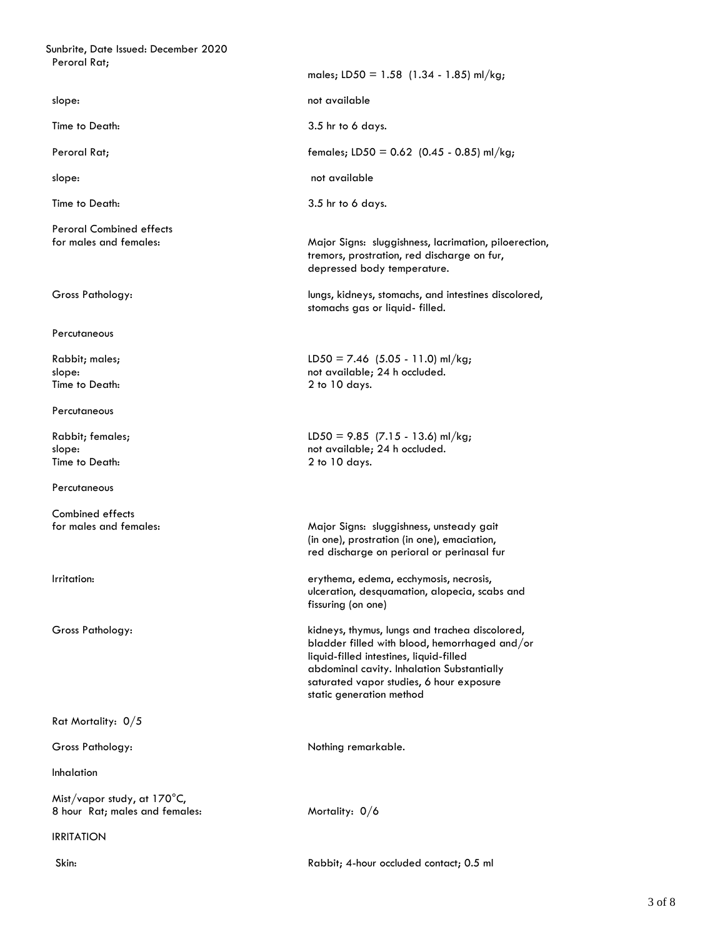| Sunbrite, Date Issued: December 2020                                    |                                                                                                                                                                                                                                                                  |
|-------------------------------------------------------------------------|------------------------------------------------------------------------------------------------------------------------------------------------------------------------------------------------------------------------------------------------------------------|
| Peroral Rat;                                                            | males; LD50 = 1.58 (1.34 - 1.85) ml/kg;                                                                                                                                                                                                                          |
| slope:                                                                  | not available                                                                                                                                                                                                                                                    |
| Time to Death:                                                          | 3.5 hr to 6 days.                                                                                                                                                                                                                                                |
| Peroral Rat;                                                            | females; LD50 = $0.62$ (0.45 - 0.85) ml/kg;                                                                                                                                                                                                                      |
| slope:                                                                  | not available                                                                                                                                                                                                                                                    |
| Time to Death:                                                          | 3.5 hr to 6 days.                                                                                                                                                                                                                                                |
| <b>Peroral Combined effects</b><br>for males and females:               | Major Signs: sluggishness, lacrimation, piloerection,<br>tremors, prostration, red discharge on fur,<br>depressed body temperature.                                                                                                                              |
| Gross Pathology:                                                        | lungs, kidneys, stomachs, and intestines discolored,<br>stomachs gas or liquid- filled.                                                                                                                                                                          |
| Percutaneous                                                            |                                                                                                                                                                                                                                                                  |
| Rabbit; males;<br>slope:<br>Time to Death:                              | LD50 = 7.46 (5.05 - 11.0) ml/kg;<br>not available; 24 h occluded.<br>$2$ to $10$ days.                                                                                                                                                                           |
| Percutaneous                                                            |                                                                                                                                                                                                                                                                  |
| Rabbit; females;<br>slope:<br>Time to Death:                            | LD50 = $9.85$ (7.15 - 13.6) ml/kg;<br>not available; 24 h occluded.<br>2 to 10 days.                                                                                                                                                                             |
| Percutaneous                                                            |                                                                                                                                                                                                                                                                  |
| Combined effects<br>for males and females:                              | Major Signs: sluggishness, unsteady gait<br>(in one), prostration (in one), emaciation,<br>red discharge on perioral or perinasal fur                                                                                                                            |
| Irritation:                                                             | erythema, edema, ecchymosis, necrosis,<br>ulceration, desquamation, alopecia, scabs and<br>fissuring (on one)                                                                                                                                                    |
| Gross Pathology:                                                        | kidneys, thymus, lungs and trachea discolored,<br>bladder filled with blood, hemorrhaged and/or<br>liquid-filled intestines, liquid-filled<br>abdominal cavity. Inhalation Substantially<br>saturated vapor studies, 6 hour exposure<br>static generation method |
| Rat Mortality: 0/5                                                      |                                                                                                                                                                                                                                                                  |
| Gross Pathology:                                                        | Nothing remarkable.                                                                                                                                                                                                                                              |
| Inhalation                                                              |                                                                                                                                                                                                                                                                  |
| Mist/vapor study, at $170^{\circ}$ C,<br>8 hour Rat; males and females: | Mortality: 0/6                                                                                                                                                                                                                                                   |
| <b>IRRITATION</b>                                                       |                                                                                                                                                                                                                                                                  |
| Skin:                                                                   | Rabbit; 4-hour occluded contact; 0.5 ml                                                                                                                                                                                                                          |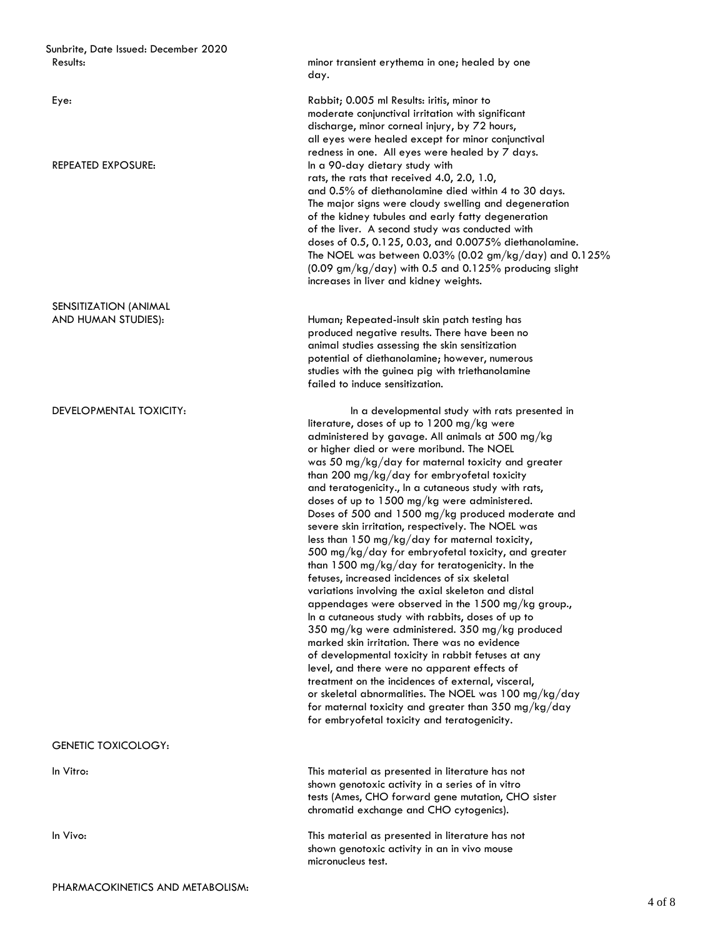Sunbrite, Date Issued: December 2020

SENSITIZATION (ANIMAL

GENETIC TOXICOLOGY:

Results: **Support 2020** Results: **December 2020 Results:** minor transient erythema in one; healed by one day.

Eye: Rabbit; 0.005 ml Results: iritis, minor to moderate conjunctival irritation with significant discharge, minor corneal injury, by 72 hours, all eyes were healed except for minor conjunctival redness in one. All eyes were healed by 7 days. REPEATED EXPOSURE: The state of the state of the disc of the state of the REPEATED EXPOSURE: rats, the rats that received 4.0, 2.0, 1.0, and 0.5% of diethanolamine died within 4 to 30 days. The major signs were cloudy swelling and degeneration of the kidney tubules and early fatty degeneration of the liver. A second study was conducted with doses of 0.5, 0.125, 0.03, and 0.0075% diethanolamine. The NOEL was between  $0.03\%$  (0.02 gm/kg/day) and  $0.125\%$ (0.09 gm/kg/day) with 0.5 and 0.125% producing slight increases in liver and kidney weights.

AND HUMAN STUDIES): Human; Repeated-insult skin patch testing has produced negative results. There have been no animal studies assessing the skin sensitization potential of diethanolamine; however, numerous studies with the guinea pig with triethanolamine failed to induce sensitization.

 In a cutaneous study with rabbits, doses of up to DEVELOPMENTAL TOXICITY: The state of the state of the developmental study with rats presented in literature, doses of up to 1200 mg/kg were administered by gavage. All animals at 500 mg/kg or higher died or were moribund. The NOEL was 50 mg/kg/day for maternal toxicity and greater than 200 mg/kg/day for embryofetal toxicity and teratogenicity., In a cutaneous study with rats, doses of up to 1500 mg/kg were administered. Doses of 500 and 1500 mg/kg produced moderate and severe skin irritation, respectively. The NOEL was less than 150 mg/kg/day for maternal toxicity, 500 mg/kg/day for embryofetal toxicity, and greater than 1500 mg/kg/day for teratogenicity. In the fetuses, increased incidences of six skeletal variations involving the axial skeleton and distal appendages were observed in the 1500 mg/kg group., 350 mg/kg were administered. 350 mg/kg produced marked skin irritation. There was no evidence of developmental toxicity in rabbit fetuses at any level, and there were no apparent effects of treatment on the incidences of external, visceral, or skeletal abnormalities. The NOEL was 100 mg/kg/day for maternal toxicity and greater than 350 mg/kg/day for embryofetal toxicity and teratogenicity.

In Vitro: This material as presented in literature has not shown genotoxic activity in a series of in vitro tests (Ames, CHO forward gene mutation, CHO sister chromatid exchange and CHO cytogenics).

In Vivo: This material as presented in literature has not shown genotoxic activity in an in vivo mouse micronucleus test.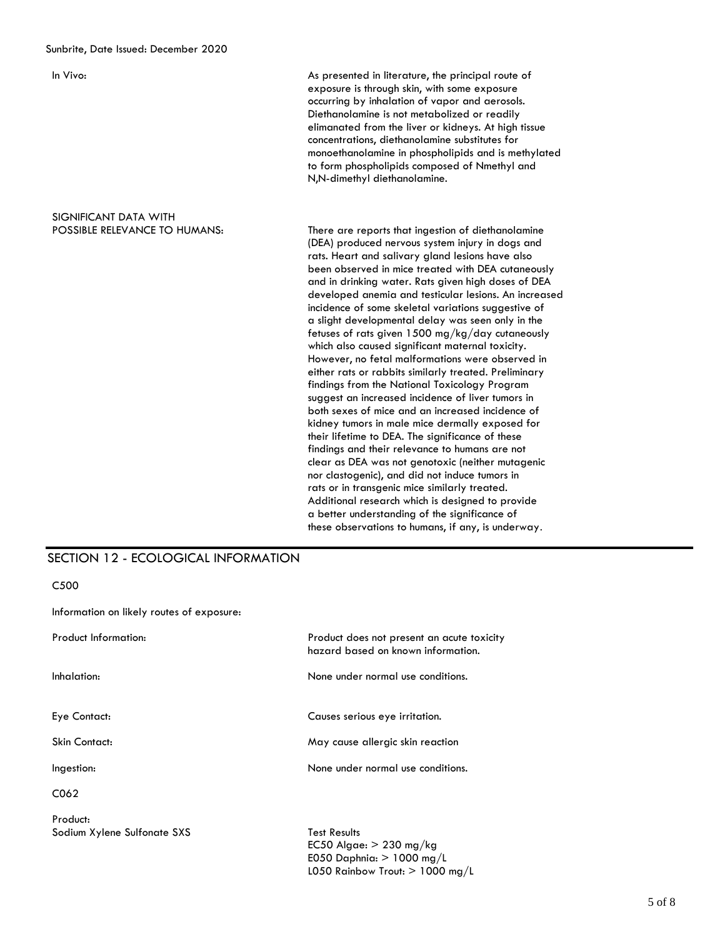As presented in literature, the principal route of exposure is through skin, with some exposure occurring by inhalation of vapor and aerosols. Diethanolamine is not metabolized or readily elimanated from the liver or kidneys. At high tissue concentrations, diethanolamine substitutes for monoethanolamine in phospholipids and is methylated to form phospholipids composed of Nmethyl and N,N-dimethyl diethanolamine.

# SIGNIFICANT DATA WITH<br>POSSIBLE RELEVANCE TO HUMANS:

There are reports that ingestion of diethanolamine (DEA) produced nervous system injury in dogs and rats. Heart and salivary gland lesions have also been observed in mice treated with DEA cutaneously and in drinking water. Rats given high doses of DEA developed anemia and testicular lesions. An increased incidence of some skeletal variations suggestive of a slight developmental delay was seen only in the fetuses of rats given 1500 mg/kg/day cutaneously which also caused significant maternal toxicity. However, no fetal malformations were observed in either rats or rabbits similarly treated. Preliminary findings from the National Toxicology Program suggest an increased incidence of liver tumors in both sexes of mice and an increased incidence of kidney tumors in male mice dermally exposed for their lifetime to DEA. The significance of these findings and their relevance to humans are not clear as DEA was not genotoxic (neither mutagenic nor clastogenic), and did not induce tumors in rats or in transgenic mice similarly treated. Additional research which is designed to provide a better understanding of the significance of these observations to humans, if any, is underway.

## SECTION 12 - ECOLOGICAL INFORMATION

C500

Information on likely routes of exposure:

| <b>Product Information:</b>             | Product does not present an acute toxicity<br>hazard based on known information. |
|-----------------------------------------|----------------------------------------------------------------------------------|
| Inhalation:                             | None under normal use conditions.                                                |
| Eye Contact:                            | Causes serious eye irritation.                                                   |
| Skin Contact:                           | May cause allergic skin reaction                                                 |
| Ingestion:                              | None under normal use conditions.                                                |
| C <sub>062</sub>                        |                                                                                  |
| Product:<br>Sodium Xylene Sulfonate SXS | <b>Test Results</b><br>$FC50$ Alggar $> 230$ mg/kg                               |

EC50 Algae: > 230 mg/kg E050 Daphnia:  $> 1000$  mg/L L050 Rainbow Trout:  $> 1000$  mg/L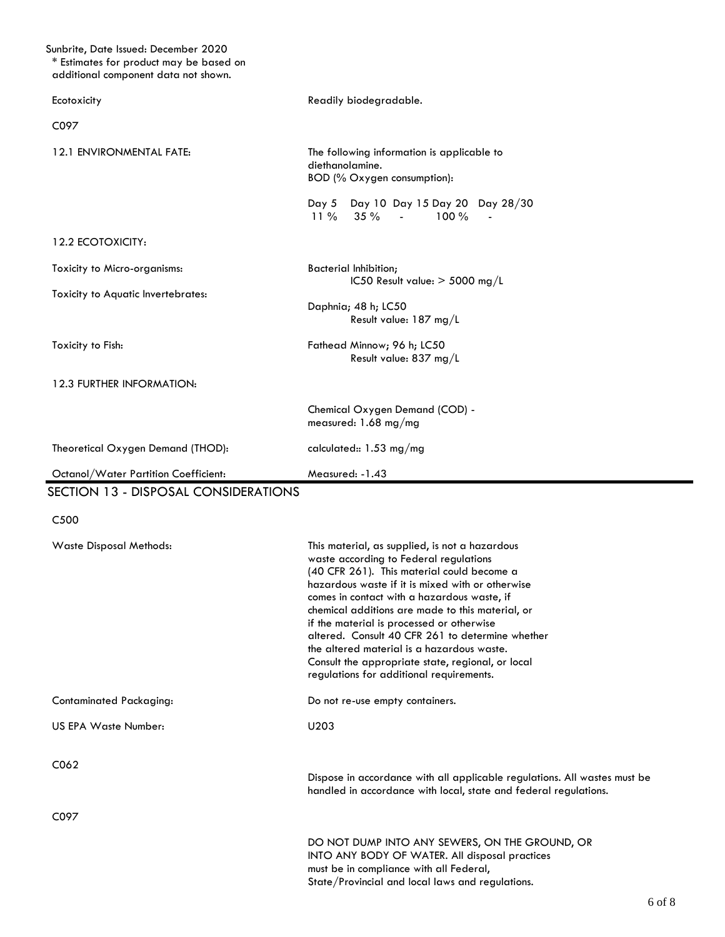| Sunbrite, Date Issued: December 2020<br>* Estimates for product may be based on<br>additional component data not shown. |                                                                                                                                                                                                                                                                                                                                                                                                                                                                                                                                               |
|-------------------------------------------------------------------------------------------------------------------------|-----------------------------------------------------------------------------------------------------------------------------------------------------------------------------------------------------------------------------------------------------------------------------------------------------------------------------------------------------------------------------------------------------------------------------------------------------------------------------------------------------------------------------------------------|
| Ecotoxicity                                                                                                             | Readily biodegradable.                                                                                                                                                                                                                                                                                                                                                                                                                                                                                                                        |
| C097                                                                                                                    |                                                                                                                                                                                                                                                                                                                                                                                                                                                                                                                                               |
| 12.1 ENVIRONMENTAL FATE:                                                                                                | The following information is applicable to<br>diethanolamine.<br>BOD (% Oxygen consumption):                                                                                                                                                                                                                                                                                                                                                                                                                                                  |
|                                                                                                                         | Day 5 Day 10 Day 15 Day 20 Day 28/30<br>35%<br>$11\%$<br>$100 \%$<br><b>Contract Contract</b>                                                                                                                                                                                                                                                                                                                                                                                                                                                 |
| 12.2 ECOTOXICITY:                                                                                                       |                                                                                                                                                                                                                                                                                                                                                                                                                                                                                                                                               |
| Toxicity to Micro-organisms:                                                                                            | <b>Bacterial Inhibition;</b><br>IC50 Result value: $>$ 5000 mg/L                                                                                                                                                                                                                                                                                                                                                                                                                                                                              |
| Toxicity to Aquatic Invertebrates:                                                                                      | Daphnia; 48 h; LC50<br>Result value: 187 mg/L                                                                                                                                                                                                                                                                                                                                                                                                                                                                                                 |
| Toxicity to Fish:                                                                                                       | Fathead Minnow; 96 h; LC50<br>Result value: 837 mg/L                                                                                                                                                                                                                                                                                                                                                                                                                                                                                          |
| 12.3 FURTHER INFORMATION:                                                                                               |                                                                                                                                                                                                                                                                                                                                                                                                                                                                                                                                               |
|                                                                                                                         | Chemical Oxygen Demand (COD) -<br>measured: 1.68 mg/mg                                                                                                                                                                                                                                                                                                                                                                                                                                                                                        |
| Theoretical Oxygen Demand (THOD):                                                                                       | calculated:: $1.53 \text{ mg/mg}$                                                                                                                                                                                                                                                                                                                                                                                                                                                                                                             |
| Octanol/Water Partition Coefficient:                                                                                    | Measured: -1.43                                                                                                                                                                                                                                                                                                                                                                                                                                                                                                                               |
| SECTION 13 - DISPOSAL CONSIDERATIONS                                                                                    |                                                                                                                                                                                                                                                                                                                                                                                                                                                                                                                                               |
| C <sub>5</sub> 00                                                                                                       |                                                                                                                                                                                                                                                                                                                                                                                                                                                                                                                                               |
| Waste Disposal Methods:                                                                                                 | This material, as supplied, is not a hazardous<br>waste according to Federal regulations<br>(40 CFR 261). This material could become a<br>hazardous waste if it is mixed with or otherwise<br>comes in contact with a hazardous waste, if<br>chemical additions are made to this material, or<br>if the material is processed or otherwise<br>altered. Consult 40 CFR 261 to determine whether<br>the altered material is a hazardous waste.<br>Consult the appropriate state, regional, or local<br>regulations for additional requirements. |
| <b>Contaminated Packaging:</b>                                                                                          | Do not re-use empty containers.                                                                                                                                                                                                                                                                                                                                                                                                                                                                                                               |
| <b>US EPA Waste Number:</b>                                                                                             | U203                                                                                                                                                                                                                                                                                                                                                                                                                                                                                                                                          |
| C062                                                                                                                    | Dispose in accordance with all applicable regulations. All wastes must be<br>handled in accordance with local, state and federal regulations.                                                                                                                                                                                                                                                                                                                                                                                                 |
| C097                                                                                                                    |                                                                                                                                                                                                                                                                                                                                                                                                                                                                                                                                               |
|                                                                                                                         | DO NOT DUMP INTO ANY SEWERS, ON THE GROUND, OR<br>INTO ANY BODY OF WATER. All disposal practices<br>must be in compliance with all Federal,<br>State/Provincial and local laws and regulations.                                                                                                                                                                                                                                                                                                                                               |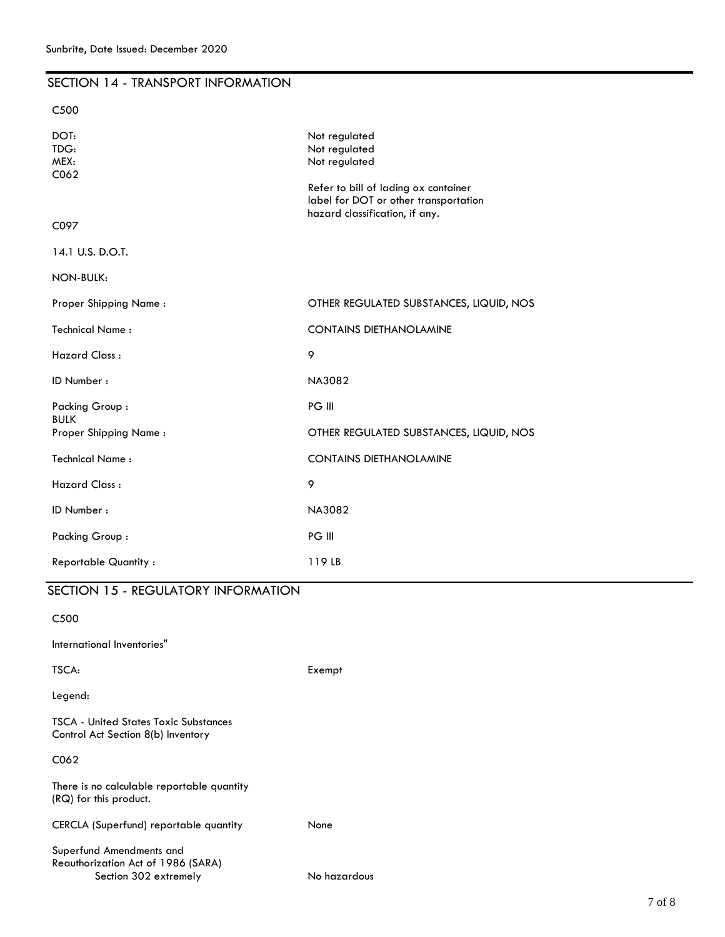| Sunbrite, Date Issued: December 2020     |                                                                                                                                  |  |  |
|------------------------------------------|----------------------------------------------------------------------------------------------------------------------------------|--|--|
| SECTION 14 - TRANSPORT INFORMATION       |                                                                                                                                  |  |  |
| C <sub>500</sub>                         |                                                                                                                                  |  |  |
| DOT:<br>TDG:<br>MEX:<br>C <sub>062</sub> | Not regulated<br>Not regulated<br>Not regulated<br>Refer to bill of lading ox container<br>label for DOT or other transportation |  |  |
| C097                                     | hazard classification, if any.                                                                                                   |  |  |
| 14.1 U.S. D.O.T.                         |                                                                                                                                  |  |  |
| NON-BULK:                                |                                                                                                                                  |  |  |
| Proper Shipping Name:                    | OTHER REGULATED SUBSTANCES, LIQUID, NOS                                                                                          |  |  |
| <b>Technical Name:</b>                   | <b>CONTAINS DIETHANOLAMINE</b>                                                                                                   |  |  |
| <b>Hazard Class:</b>                     | 9                                                                                                                                |  |  |
| ID Number:                               | <b>NA3082</b>                                                                                                                    |  |  |
| Packing Group:                           | PG III                                                                                                                           |  |  |
| <b>BULK</b><br>Proper Shipping Name:     | OTHER REGULATED SUBSTANCES, LIQUID, NOS                                                                                          |  |  |
| <b>Technical Name:</b>                   | <b>CONTAINS DIETHANOLAMINE</b>                                                                                                   |  |  |
| <b>Hazard Class:</b>                     | 9                                                                                                                                |  |  |
| ID Number:                               | <b>NA3082</b>                                                                                                                    |  |  |
| Packing Group:                           | PG III                                                                                                                           |  |  |
| <b>Reportable Quantity:</b>              | 119LB                                                                                                                            |  |  |

| SECTION 15 - REGULATORY INFORMATION                                                     |              |
|-----------------------------------------------------------------------------------------|--------------|
| C <sub>500</sub>                                                                        |              |
| International Inventories"                                                              |              |
| TSCA:                                                                                   | Exempt       |
| Legend:                                                                                 |              |
| <b>TSCA - United States Toxic Substances</b><br>Control Act Section 8(b) Inventory      |              |
| C062                                                                                    |              |
| There is no calculable reportable quantity<br>(RQ) for this product.                    |              |
| CERCLA (Superfund) reportable quantity                                                  | None         |
| Superfund Amendments and<br>Reauthorization Act of 1986 (SARA)<br>Section 302 extremely | No hazardous |